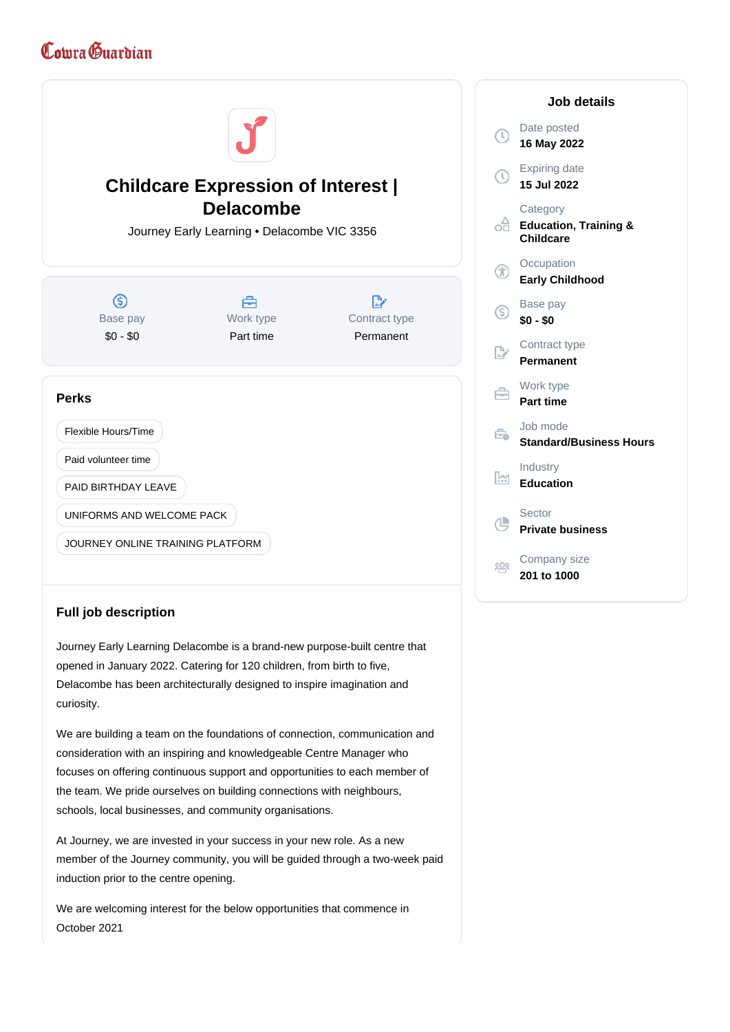## Comra Guardian



## **Full job description**

Journey Early Learning Delacombe is a brand-new purpose-built centre that opened in January 2022. Catering for 120 children, from birth to five, Delacombe has been architecturally designed to inspire imagination and curiosity.

We are building a team on the foundations of connection, communication and consideration with an inspiring and knowledgeable Centre Manager who focuses on offering continuous support and opportunities to each member of the team. We pride ourselves on building connections with neighbours, schools, local businesses, and community organisations.

At Journey, we are invested in your success in your new role. As a new member of the Journey community, you will be guided through a two-week paid induction prior to the centre opening.

We are welcoming interest for the below opportunities that commence in October 2021

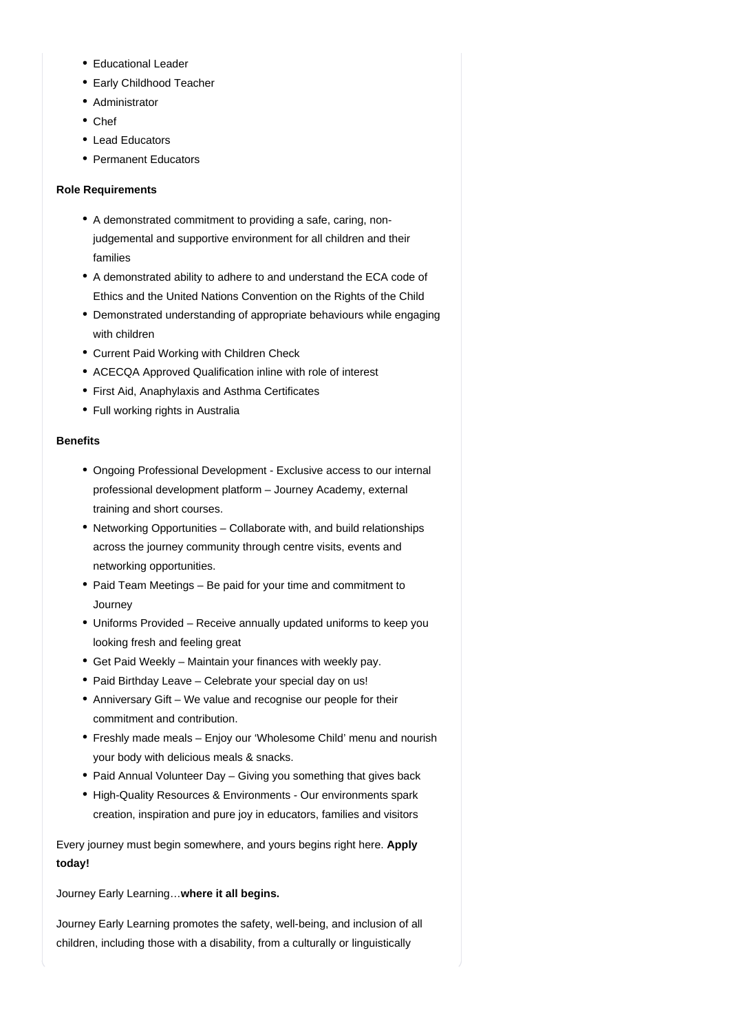- Educational Leader
- Early Childhood Teacher
- Administrator
- Chef
- Lead Educators
- Permanent Educators

## **Role Requirements**

- A demonstrated commitment to providing a safe, caring, nonjudgemental and supportive environment for all children and their families
- A demonstrated ability to adhere to and understand the ECA code of Ethics and the United Nations Convention on the Rights of the Child
- Demonstrated understanding of appropriate behaviours while engaging with children
- Current Paid Working with Children Check
- ACECQA Approved Qualification inline with role of interest
- First Aid, Anaphylaxis and Asthma Certificates
- Full working rights in Australia

## **Benefits**

- Ongoing Professional Development Exclusive access to our internal professional development platform – Journey Academy, external training and short courses.
- Networking Opportunities Collaborate with, and build relationships across the journey community through centre visits, events and networking opportunities.
- Paid Team Meetings Be paid for your time and commitment to **Journey**
- Uniforms Provided Receive annually updated uniforms to keep you looking fresh and feeling great
- Get Paid Weekly Maintain your finances with weekly pay.
- Paid Birthday Leave Celebrate your special day on us!
- Anniversary Gift We value and recognise our people for their commitment and contribution.
- Freshly made meals Enjoy our 'Wholesome Child' menu and nourish your body with delicious meals & snacks.
- Paid Annual Volunteer Day Giving you something that gives back
- High-Quality Resources & Environments Our environments spark creation, inspiration and pure joy in educators, families and visitors

Every journey must begin somewhere, and yours begins right here. **Apply today!**

Journey Early Learning…**where it all begins.**

Journey Early Learning promotes the safety, well-being, and inclusion of all children, including those with a disability, from a culturally or linguistically